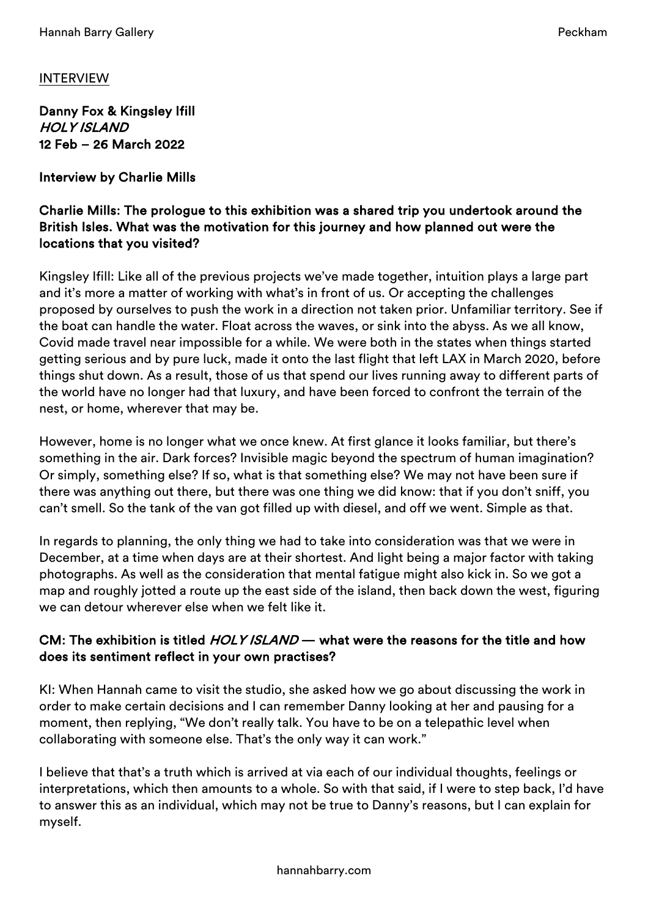# INTERVIEW

Danny Fox & Kingsley Ifill HOLY ISLAND 12 Feb – 26 March 2022

Interview by Charlie Mills

#### Charlie Mills: The prologue to this exhibition was a shared trip you undertook around the British Isles. What was the motivation for this journey and how planned out were the locations that you visited?

Kingsley Ifill: Like all of the previous projects we've made together, intuition plays a large part and it's more a matter of working with what's in front of us. Or accepting the challenges proposed by ourselves to push the work in a direction not taken prior. Unfamiliar territory. See if the boat can handle the water. Float across the waves, or sink into the abyss. As we all know, Covid made travel near impossible for a while. We were both in the states when things started getting serious and by pure luck, made it onto the last flight that left LAX in March 2020, before things shut down. As a result, those of us that spend our lives running away to different parts of the world have no longer had that luxury, and have been forced to confront the terrain of the nest, or home, wherever that may be.

However, home is no longer what we once knew. At first glance it looks familiar, but there's something in the air. Dark forces? Invisible magic beyond the spectrum of human imagination? Or simply, something else? If so, what is that something else? We may not have been sure if there was anything out there, but there was one thing we did know: that if you don't sniff, you can't smell. So the tank of the van got filled up with diesel, and off we went. Simple as that.

In regards to planning, the only thing we had to take into consideration was that we were in December, at a time when days are at their shortest. And light being a major factor with taking photographs. As well as the consideration that mental fatigue might also kick in. So we got a map and roughly jotted a route up the east side of the island, then back down the west, figuring we can detour wherever else when we felt like it.

# CM: The exhibition is titled *HOLY ISLAND* — what were the reasons for the title and how does its sentiment reflect in your own practises?

KI: When Hannah came to visit the studio, she asked how we go about discussing the work in order to make certain decisions and I can remember Danny looking at her and pausing for a moment, then replying, "We don't really talk. You have to be on a telepathic level when collaborating with someone else. That's the only way it can work."

I believe that that's a truth which is arrived at via each of our individual thoughts, feelings or interpretations, which then amounts to a whole. So with that said, if I were to step back, I'd have to answer this as an individual, which may not be true to Danny's reasons, but I can explain for myself.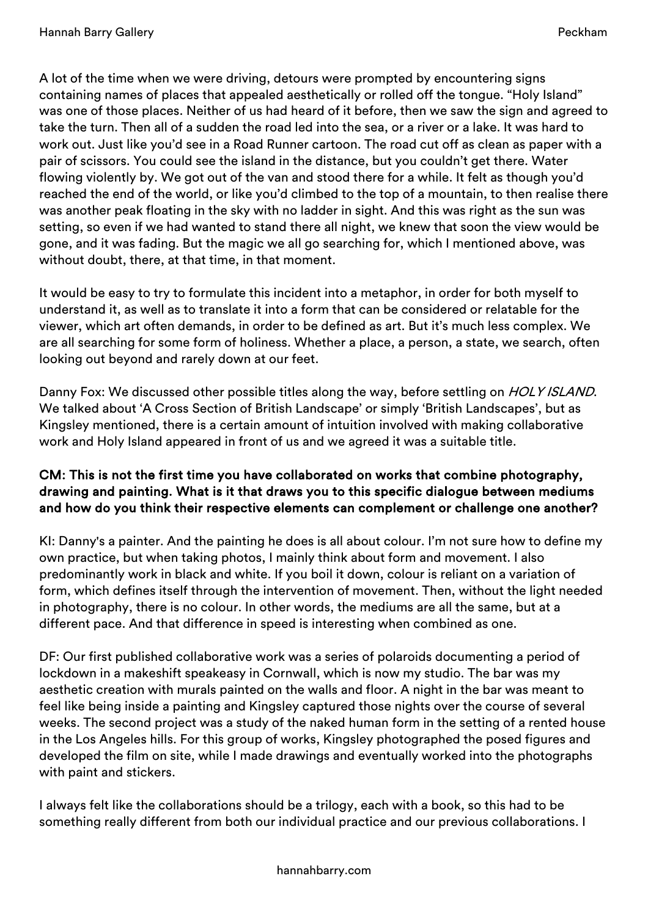A lot of the time when we were driving, detours were prompted by encountering signs containing names of places that appealed aesthetically or rolled off the tongue. "Holy Island" was one of those places. Neither of us had heard of it before, then we saw the sign and agreed to take the turn. Then all of a sudden the road led into the sea, or a river or a lake. It was hard to work out. Just like you'd see in a Road Runner cartoon. The road cut off as clean as paper with a pair of scissors. You could see the island in the distance, but you couldn't get there. Water flowing violently by. We got out of the van and stood there for a while. It felt as though you'd reached the end of the world, or like you'd climbed to the top of a mountain, to then realise there was another peak floating in the sky with no ladder in sight. And this was right as the sun was setting, so even if we had wanted to stand there all night, we knew that soon the view would be gone, and it was fading. But the magic we all go searching for, which I mentioned above, was without doubt, there, at that time, in that moment.

It would be easy to try to formulate this incident into a metaphor, in order for both myself to understand it, as well as to translate it into a form that can be considered or relatable for the viewer, which art often demands, in order to be defined as art. But it's much less complex. We are all searching for some form of holiness. Whether a place, a person, a state, we search, often looking out beyond and rarely down at our feet.

Danny Fox: We discussed other possible titles along the way, before settling on HOLY ISLAND. We talked about 'A Cross Section of British Landscape' or simply 'British Landscapes', but as Kingsley mentioned, there is a certain amount of intuition involved with making collaborative work and Holy Island appeared in front of us and we agreed it was a suitable title.

## CM: This is not the first time you have collaborated on works that combine photography, drawing and painting. What is it that draws you to this specific dialogue between mediums and how do you think their respective elements can complement or challenge one another?

KI: Danny's a painter. And the painting he does is all about colour. I'm not sure how to define my own practice, but when taking photos, I mainly think about form and movement. I also predominantly work in black and white. If you boil it down, colour is reliant on a variation of form, which defines itself through the intervention of movement. Then, without the light needed in photography, there is no colour. In other words, the mediums are all the same, but at a different pace. And that difference in speed is interesting when combined as one.

DF: Our first published collaborative work was a series of polaroids documenting a period of lockdown in a makeshift speakeasy in Cornwall, which is now my studio. The bar was my aesthetic creation with murals painted on the walls and floor. A night in the bar was meant to feel like being inside a painting and Kingsley captured those nights over the course of several weeks. The second project was a study of the naked human form in the setting of a rented house in the Los Angeles hills. For this group of works, Kingsley photographed the posed figures and developed the film on site, while I made drawings and eventually worked into the photographs with paint and stickers.

I always felt like the collaborations should be a trilogy, each with a book, so this had to be something really different from both our individual practice and our previous collaborations. I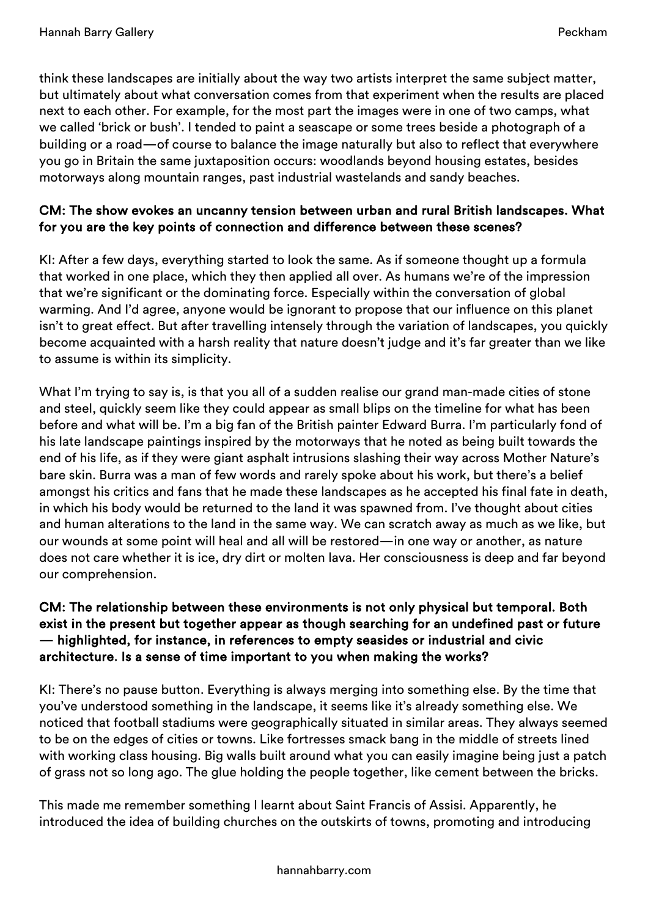think these landscapes are initially about the way two artists interpret the same subject matter, but ultimately about what conversation comes from that experiment when the results are placed next to each other. For example, for the most part the images were in one of two camps, what we called 'brick or bush'. I tended to paint a seascape or some trees beside a photograph of a building or a road—of course to balance the image naturally but also to reflect that everywhere you go in Britain the same juxtaposition occurs: woodlands beyond housing estates, besides motorways along mountain ranges, past industrial wastelands and sandy beaches.

## CM: The show evokes an uncanny tension between urban and rural British landscapes. What for you are the key points of connection and difference between these scenes?

KI: After a few days, everything started to look the same. As if someone thought up a formula that worked in one place, which they then applied all over. As humans we're of the impression that we're significant or the dominating force. Especially within the conversation of global warming. And I'd agree, anyone would be ignorant to propose that our influence on this planet isn't to great effect. But after travelling intensely through the variation of landscapes, you quickly become acquainted with a harsh reality that nature doesn't judge and it's far greater than we like to assume is within its simplicity.

What I'm trying to say is, is that you all of a sudden realise our grand man-made cities of stone and steel, quickly seem like they could appear as small blips on the timeline for what has been before and what will be. I'm a big fan of the British painter Edward Burra. I'm particularly fond of his late landscape paintings inspired by the motorways that he noted as being built towards the end of his life, as if they were giant asphalt intrusions slashing their way across Mother Nature's bare skin. Burra was a man of few words and rarely spoke about his work, but there's a belief amongst his critics and fans that he made these landscapes as he accepted his final fate in death, in which his body would be returned to the land it was spawned from. I've thought about cities and human alterations to the land in the same way. We can scratch away as much as we like, but our wounds at some point will heal and all will be restored—in one way or another, as nature does not care whether it is ice, dry dirt or molten lava. Her consciousness is deep and far beyond our comprehension.

#### CM: The relationship between these environments is not only physical but temporal. Both exist in the present but together appear as though searching for an undefined past or future — highlighted, for instance, in references to empty seasides or industrial and civic architecture. Is a sense of time important to you when making the works?

KI: There's no pause button. Everything is always merging into something else. By the time that you've understood something in the landscape, it seems like it's already something else. We noticed that football stadiums were geographically situated in similar areas. They always seemed to be on the edges of cities or towns. Like fortresses smack bang in the middle of streets lined with working class housing. Big walls built around what you can easily imagine being just a patch of grass not so long ago. The glue holding the people together, like cement between the bricks.

This made me remember something I learnt about Saint Francis of Assisi. Apparently, he introduced the idea of building churches on the outskirts of towns, promoting and introducing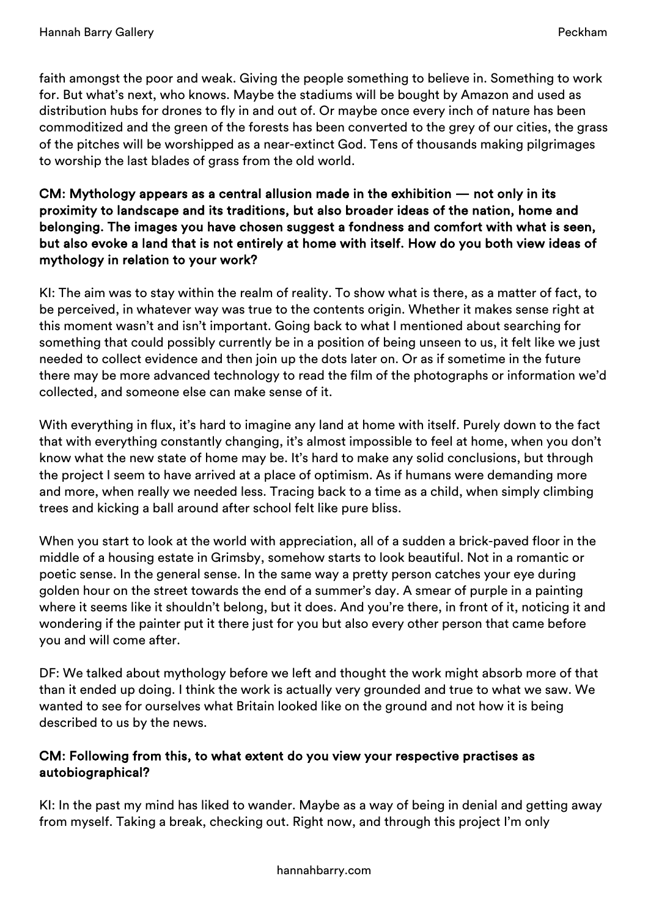faith amongst the poor and weak. Giving the people something to believe in. Something to work for. But what's next, who knows. Maybe the stadiums will be bought by Amazon and used as distribution hubs for drones to fly in and out of. Or maybe once every inch of nature has been commoditized and the green of the forests has been converted to the grey of our cities, the grass of the pitches will be worshipped as a near-extinct God. Tens of thousands making pilgrimages to worship the last blades of grass from the old world.

## CM: Mythology appears as a central allusion made in the exhibition — not only in its proximity to landscape and its traditions, but also broader ideas of the nation, home and belonging. The images you have chosen suggest a fondness and comfort with what is seen, but also evoke a land that is not entirely at home with itself. How do you both view ideas of mythology in relation to your work?

KI: The aim was to stay within the realm of reality. To show what is there, as a matter of fact, to be perceived, in whatever way was true to the contents origin. Whether it makes sense right at this moment wasn't and isn't important. Going back to what I mentioned about searching for something that could possibly currently be in a position of being unseen to us, it felt like we just needed to collect evidence and then join up the dots later on. Or as if sometime in the future there may be more advanced technology to read the film of the photographs or information we'd collected, and someone else can make sense of it.

With everything in flux, it's hard to imagine any land at home with itself. Purely down to the fact that with everything constantly changing, it's almost impossible to feel at home, when you don't know what the new state of home may be. It's hard to make any solid conclusions, but through the project I seem to have arrived at a place of optimism. As if humans were demanding more and more, when really we needed less. Tracing back to a time as a child, when simply climbing trees and kicking a ball around after school felt like pure bliss.

When you start to look at the world with appreciation, all of a sudden a brick-paved floor in the middle of a housing estate in Grimsby, somehow starts to look beautiful. Not in a romantic or poetic sense. In the general sense. In the same way a pretty person catches your eye during golden hour on the street towards the end of a summer's day. A smear of purple in a painting where it seems like it shouldn't belong, but it does. And you're there, in front of it, noticing it and wondering if the painter put it there just for you but also every other person that came before you and will come after.

DF: We talked about mythology before we left and thought the work might absorb more of that than it ended up doing. I think the work is actually very grounded and true to what we saw. We wanted to see for ourselves what Britain looked like on the ground and not how it is being described to us by the news.

## CM: Following from this, to what extent do you view your respective practises as autobiographical?

KI: In the past my mind has liked to wander. Maybe as a way of being in denial and getting away from myself. Taking a break, checking out. Right now, and through this project I'm only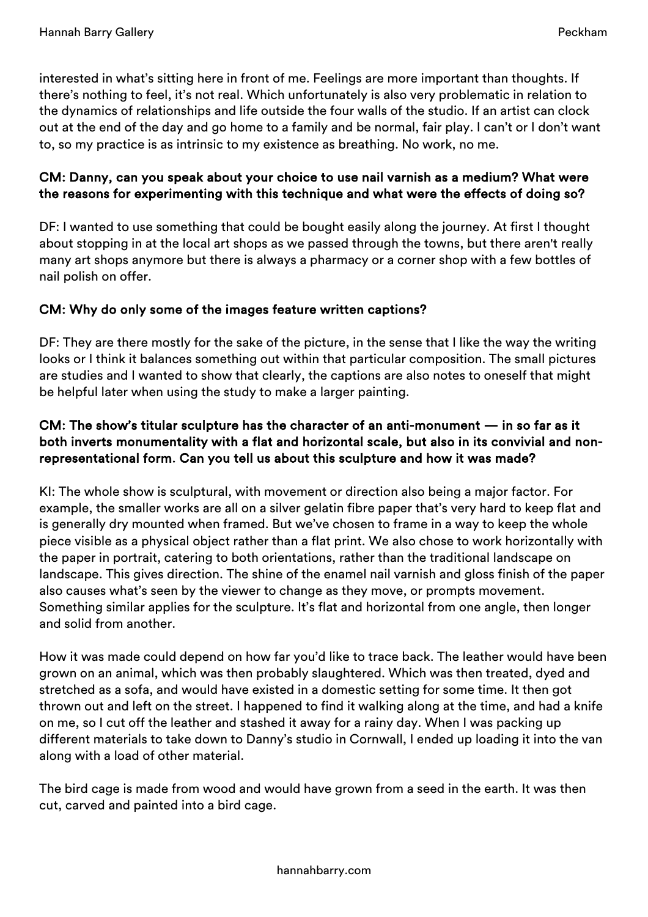interested in what's sitting here in front of me. Feelings are more important than thoughts. If there's nothing to feel, it's not real. Which unfortunately is also very problematic in relation to the dynamics of relationships and life outside the four walls of the studio. If an artist can clock out at the end of the day and go home to a family and be normal, fair play. I can't or I don't want to, so my practice is as intrinsic to my existence as breathing. No work, no me.

#### CM: Danny, can you speak about your choice to use nail varnish as a medium? What were the reasons for experimenting with this technique and what were the effects of doing so?

DF: I wanted to use something that could be bought easily along the journey. At first I thought about stopping in at the local art shops as we passed through the towns, but there aren't really many art shops anymore but there is always a pharmacy or a corner shop with a few bottles of nail polish on offer.

# CM: Why do only some of the images feature written captions?

DF: They are there mostly for the sake of the picture, in the sense that I like the way the writing looks or I think it balances something out within that particular composition. The small pictures are studies and I wanted to show that clearly, the captions are also notes to oneself that might be helpful later when using the study to make a larger painting.

## CM: The show's titular sculpture has the character of an anti-monument — in so far as it both inverts monumentality with a flat and horizontal scale, but also in its convivial and nonrepresentational form. Can you tell us about this sculpture and how it was made?

KI: The whole show is sculptural, with movement or direction also being a major factor. For example, the smaller works are all on a silver gelatin fibre paper that's very hard to keep flat and is generally dry mounted when framed. But we've chosen to frame in a way to keep the whole piece visible as a physical object rather than a flat print. We also chose to work horizontally with the paper in portrait, catering to both orientations, rather than the traditional landscape on landscape. This gives direction. The shine of the enamel nail varnish and gloss finish of the paper also causes what's seen by the viewer to change as they move, or prompts movement. Something similar applies for the sculpture. It's flat and horizontal from one angle, then longer and solid from another.

How it was made could depend on how far you'd like to trace back. The leather would have been grown on an animal, which was then probably slaughtered. Which was then treated, dyed and stretched as a sofa, and would have existed in a domestic setting for some time. It then got thrown out and left on the street. I happened to find it walking along at the time, and had a knife on me, so I cut off the leather and stashed it away for a rainy day. When I was packing up different materials to take down to Danny's studio in Cornwall, I ended up loading it into the van along with a load of other material.

The bird cage is made from wood and would have grown from a seed in the earth. It was then cut, carved and painted into a bird cage.